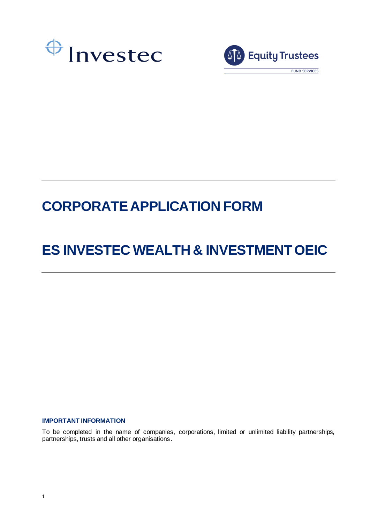



# **CORPORATE APPLICATION FORM**

# **ES INVESTEC WEALTH & INVESTMENT OEIC**

# **IMPORTANT INFORMATION**

To be completed in the name of companies, corporations, limited or unlimited liability partnerships, partnerships, trusts and all other organisations.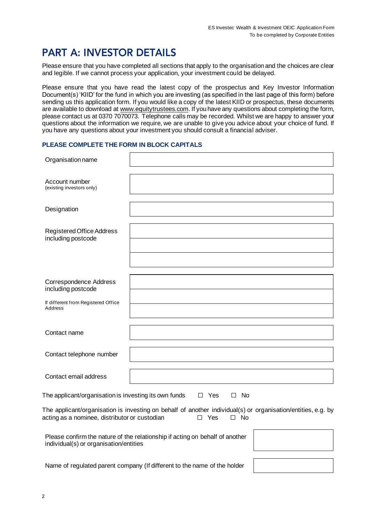# **PART A: INVESTOR DETAILS**

Please ensure that you have completed all sections that apply to the organisation and the choices are clear and legible. If we cannot process your application, your investment could be delayed.

Please ensure that you have read the latest copy of the prospectus and Key Investor Information Document(s) 'KIID' for the fund in which you are investing (as specified in the last page of this form) before sending us this application form. If you would like a copy of the latest KIID or prospectus, these documents are available to download at [www.equitytrustees.com.](http://www.equitytrustees.com/) If you have any questions about completing the form, please contact us at 0370 7070073. Telephone calls may be recorded. Whilst we are happy to answer your questions about the information we require, we are unable to give you advice about your choice of fund. If you have any questions about your investment you should consult a financial adviser.

#### **PLEASE COMPLETE THE FORM IN BLOCK CAPITALS**

| Organisation name                                                        |                                                                                                                                            |  |  |  |  |
|--------------------------------------------------------------------------|--------------------------------------------------------------------------------------------------------------------------------------------|--|--|--|--|
| Account number<br>(existing investors only)                              |                                                                                                                                            |  |  |  |  |
| Designation                                                              |                                                                                                                                            |  |  |  |  |
| Registered Office Address<br>including postcode                          |                                                                                                                                            |  |  |  |  |
|                                                                          |                                                                                                                                            |  |  |  |  |
| <b>Correspondence Address</b><br>including postcode                      |                                                                                                                                            |  |  |  |  |
| If different from Registered Office<br><b>Address</b>                    |                                                                                                                                            |  |  |  |  |
| Contact name                                                             |                                                                                                                                            |  |  |  |  |
| Contact telephone number                                                 |                                                                                                                                            |  |  |  |  |
| Contact email address                                                    |                                                                                                                                            |  |  |  |  |
| The applicant/organisation is investing its own funds                    | $\square$ No<br>$\Box$ Yes                                                                                                                 |  |  |  |  |
| acting as a nominee, distributor or custodian                            | The applicant/organisation is investing on behalf of another individual(s) or organisation/entities, e.g. by<br>$\Box$ Yes<br>$\square$ No |  |  |  |  |
| individual(s) or organisation/entities                                   | Please confirm the nature of the relationship if acting on behalf of another                                                               |  |  |  |  |
| Name of regulated parent company (If different to the name of the holder |                                                                                                                                            |  |  |  |  |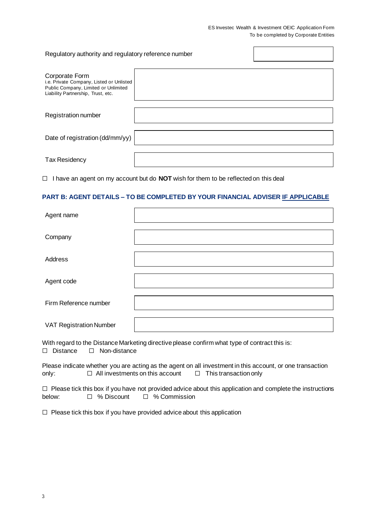#### ES Investec Wealth & Investment OEIC Application Form To be completed by Corporate Entities

 $\overline{\phantom{0}}$ 

 $\blacksquare$ 

| Regulatory authority and regulatory reference number                                                                                     |  |  |
|------------------------------------------------------------------------------------------------------------------------------------------|--|--|
| Corporate Form<br>i.e. Private Company, Listed or Unlisted<br>Public Company, Limited or Unlimited<br>Liability Partnership, Trust, etc. |  |  |
| Registration number                                                                                                                      |  |  |
| Date of registration (dd/mm/yy)                                                                                                          |  |  |
| <b>Tax Residency</b>                                                                                                                     |  |  |

☐ I have an agent on my account but do **NOT** wish for them to be reflected on this deal

# **PART B: AGENT DETAILS – TO BE COMPLETED BY YOUR FINANCIAL ADVISER IF APPLICABLE**

| Agent name                     |  |
|--------------------------------|--|
| Company                        |  |
| Address                        |  |
| Agent code                     |  |
| Firm Reference number          |  |
| <b>VAT Registration Number</b> |  |

With regard to the Distance Marketing directive please confirm what type of contract this is:<br>  $\Box$  Distance  $\Box$  Non-distance ☐ Distance ☐ Non-distance

Please indicate whether you are acting as the agent on all investment in this account, or one transaction only: <del>□</del> All investments on this account □ This transaction only

|        |              | $\Box$ Please tick this box if you have not provided advice about this application and complete the instructions |
|--------|--------------|------------------------------------------------------------------------------------------------------------------|
| below: | □ % Discount | □ % Commission                                                                                                   |

☐ Please tick this box if you have provided advice about this application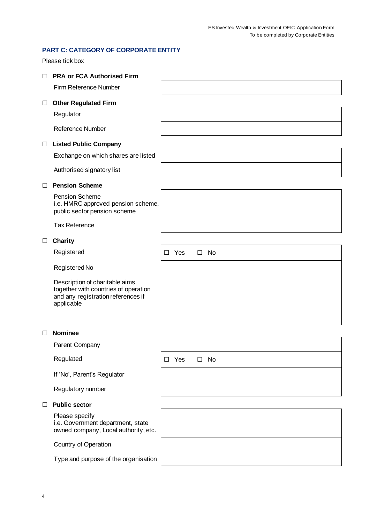# **PART C: CATEGORY OF CORPORATE ENTITY**

Please tick box

| П      | <b>PRA or FCA Authorised Firm</b>                                                                                          |        |     |        |    |  |
|--------|----------------------------------------------------------------------------------------------------------------------------|--------|-----|--------|----|--|
|        | Firm Reference Number                                                                                                      |        |     |        |    |  |
| $\Box$ | <b>Other Regulated Firm</b>                                                                                                |        |     |        |    |  |
|        | Regulator                                                                                                                  |        |     |        |    |  |
|        | <b>Reference Number</b>                                                                                                    |        |     |        |    |  |
| $\Box$ | <b>Listed Public Company</b>                                                                                               |        |     |        |    |  |
|        | Exchange on which shares are listed                                                                                        |        |     |        |    |  |
|        | Authorised signatory list                                                                                                  |        |     |        |    |  |
| П      | <b>Pension Scheme</b>                                                                                                      |        |     |        |    |  |
|        | Pension Scheme<br>i.e. HMRC approved pension scheme,<br>public sector pension scheme                                       |        |     |        |    |  |
|        | <b>Tax Reference</b>                                                                                                       |        |     |        |    |  |
| □      | <b>Charity</b>                                                                                                             |        |     |        |    |  |
|        | Registered                                                                                                                 | П      | Yes | □.     | No |  |
|        | Registered No                                                                                                              |        |     |        |    |  |
|        | Description of charitable aims<br>together with countries of operation<br>and any registration references if<br>applicable |        |     |        |    |  |
| П      | <b>Nominee</b>                                                                                                             |        |     |        |    |  |
|        | Parent Company                                                                                                             |        |     |        |    |  |
|        | Regulated                                                                                                                  | $\Box$ | Yes | $\Box$ | No |  |
|        | If 'No', Parent's Regulator                                                                                                |        |     |        |    |  |
|        | Regulatory number                                                                                                          |        |     |        |    |  |
| П      | <b>Public sector</b>                                                                                                       |        |     |        |    |  |
|        | Please specify<br>i.e. Government department, state<br>owned company, Local authority, etc.                                |        |     |        |    |  |
|        | Country of Operation                                                                                                       |        |     |        |    |  |
|        | Type and purpose of the organisation                                                                                       |        |     |        |    |  |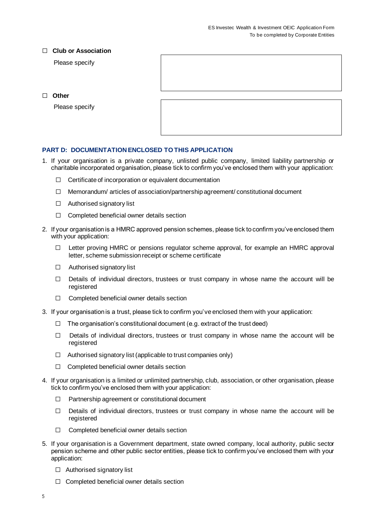# ☐ **Club or Association**

Please specify

☐ **Other**

Please specify

# **PART D: DOCUMENTATION ENCLOSED TO THIS APPLICATION**

- 1. If your organisation is a private company, unlisted public company, limited liability partnership or charitable incorporated organisation, please tick to confirm you've enclosed them with your application:
	- ☐ Certificate of incorporation or equivalent documentation
	- $\Box$  Memorandum/ articles of association/partnership agreement/ constitutional document
	- ☐ Authorised signatory list
	- ☐ Completed beneficial owner details section
- 2. If your organisation is a HMRC approved pension schemes, please tick to confirm you've enclosed them with your application:
	- ☐ Letter proving HMRC or pensions regulator scheme approval, for example an HMRC approval letter, scheme submission receipt or scheme certificate
	- ☐ Authorised signatory list
	- $\Box$  Details of individual directors, trustees or trust company in whose name the account will be registered
	- ☐ Completed beneficial owner details section
- 3. If your organisation is a trust, please tick to confirm you've enclosed them with your application:
	- $\Box$  The organisation's constitutional document (e.g. extract of the trust deed)
	- $\Box$  Details of individual directors, trustees or trust company in whose name the account will be registered
	- $\Box$  Authorised signatory list (applicable to trust companies only)
	- ☐ Completed beneficial owner details section
- 4. If your organisation is a limited or unlimited partnership, club, association, or other organisation, please tick to confirm you've enclosed them with your application:
	- ☐ Partnership agreement or constitutional document
	- $\Box$  Details of individual directors, trustees or trust company in whose name the account will be registered
	- ☐ Completed beneficial owner details section
- 5. If your organisation is a Government department, state owned company, local authority, public sector pension scheme and other public sector entities, please tick to confirm you've enclosed them with your application:
	- ☐ Authorised signatory list
	- ☐ Completed beneficial owner details section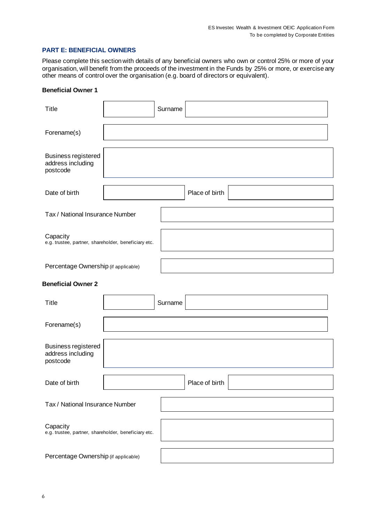# **PART E: BENEFICIAL OWNERS**

Please complete this section with details of any beneficial owners who own or control 25% or more of your organisation, will benefit from the proceeds of the investment in the Funds by 25% or more, or exercise any other means of control over the organisation (e.g. board of directors or equivalent).

### **Beneficial Owner 1**

| <b>Title</b>                                                     | Surname |                |
|------------------------------------------------------------------|---------|----------------|
| Forename(s)                                                      |         |                |
| <b>Business registered</b><br>address including<br>postcode      |         |                |
| Date of birth                                                    |         | Place of birth |
| Tax / National Insurance Number                                  |         |                |
| Capacity<br>e.g. trustee, partner, shareholder, beneficiary etc. |         |                |
| Percentage Ownership (if applicable)                             |         |                |
| <b>Beneficial Owner 2</b>                                        |         |                |
| <b>Title</b>                                                     | Surname |                |
| Forename(s)                                                      |         |                |
| <b>Business registered</b><br>address including<br>postcode      |         |                |
| Date of birth                                                    |         | Place of birth |
| Tax / National Insurance Number                                  |         |                |
| Capacity<br>e.g. trustee, partner, shareholder, beneficiary etc. |         |                |
| Percentage Ownership (if applicable)                             |         |                |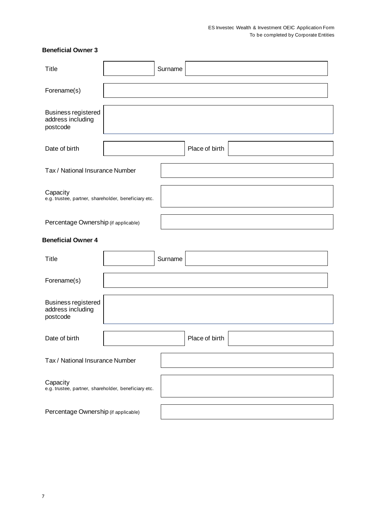# **Beneficial Owner 3**

| <b>Title</b>                                                     | Surname        |  |
|------------------------------------------------------------------|----------------|--|
| Forename(s)                                                      |                |  |
| <b>Business registered</b><br>address including<br>postcode      |                |  |
| Date of birth                                                    | Place of birth |  |
| Tax / National Insurance Number                                  |                |  |
| Capacity<br>e.g. trustee, partner, shareholder, beneficiary etc. |                |  |
| Percentage Ownership (if applicable)                             |                |  |
| <b>Beneficial Owner 4</b>                                        |                |  |
| <b>Title</b>                                                     | Surname        |  |
| Forename(s)                                                      |                |  |
| <b>Business registered</b><br>address including<br>postcode      |                |  |
| Date of birth                                                    | Place of birth |  |
| Tax / National Insurance Number                                  |                |  |
| Capacity<br>e.g. trustee, partner, shareholder, beneficiary etc. |                |  |
| Percentage Ownership (if applicable)                             |                |  |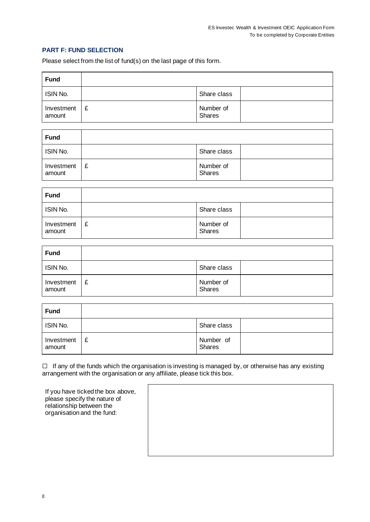# **PART F: FUND SELECTION**

Please select from the list of fund(s) on the last page of this form.

| <b>Fund</b>          |   |                            |  |
|----------------------|---|----------------------------|--|
| ISIN No.             |   | Share class                |  |
| Investment<br>amount | £ | Number of<br><b>Shares</b> |  |

| <b>Fund</b>          |   |                            |  |
|----------------------|---|----------------------------|--|
| ISIN No.             |   | Share class                |  |
| Investment<br>amount | £ | Number of<br><b>Shares</b> |  |

| <b>Fund</b>          |   |                     |  |
|----------------------|---|---------------------|--|
| ISIN No.             |   | Share class         |  |
| Investment<br>amount | £ | Number of<br>Shares |  |

| <b>Fund</b>          |   |                     |  |
|----------------------|---|---------------------|--|
| ISIN No.             |   | Share class         |  |
| Investment<br>amount | £ | Number of<br>Shares |  |

| <b>Fund</b>          |   |                            |  |
|----------------------|---|----------------------------|--|
| ISIN No.             |   | Share class                |  |
| Investment<br>amount | £ | Number of<br><b>Shares</b> |  |

☐ If any of the funds which the organisation is investing is managed by, or otherwise has any existing arrangement with the organisation or any affiliate, please tick this box.

| If you have ticked the box above, |
|-----------------------------------|
| please specify the nature of      |
| relationship between the          |
| organisation and the fund:        |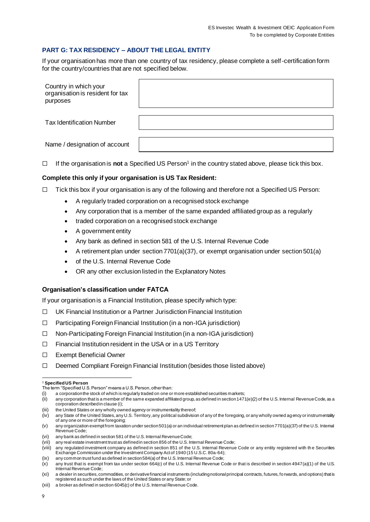# **PART G: TAX RESIDENCY – ABOUT THE LEGAL ENTITY**

If your organisation has more than one country of tax residency, please complete a self-certification form for the country/countries that are not specified below.

| Country in which your<br>organisation is resident for tax<br>purposes |  |
|-----------------------------------------------------------------------|--|
| <b>Tax Identification Number</b>                                      |  |
| Name / designation of account                                         |  |

☐ If the organisation is **not** a Specified US Person<sup>1</sup> in the country stated above, please tick this box.

#### **Complete this only if your organisation is US Tax Resident:**

- $\Box$  Tick this box if your organisation is any of the following and therefore not a Specified US Person:
	- A regularly traded corporation on a recognised stock exchange
	- Any corporation that is a member of the same expanded affiliated group as a regularly
	- traded corporation on a recognised stock exchange
	- A government entity
	- Any bank as defined in section 581 of the U.S. Internal Revenue Code
	- A retirement plan under section 7701(a)(37), or exempt organisation under section 501(a)
	- of the U.S. Internal Revenue Code
	- OR any other exclusion listed in the Explanatory Notes

#### **Organisation's classification under FATCA**

If your organisation is a Financial Institution, please specify which type:

- ☐ UK Financial Institution or a Partner Jurisdiction Financial Institution
- ☐ Participating Foreign Financial Institution (in a non-IGA jurisdiction)
- ☐ Non-Participating Foreign Financial Institution (in a non-IGA jurisdiction)
- ☐ Financial Institution resident in the USA or in a US Territory
- ☐ Exempt Beneficial Owner
- ☐ Deemed Compliant Foreign Financial Institution (besides those listed above)

<sup>1</sup> **Specified US Person**

The term "Specified U.S. Person" means a U.S. Person, other than:

<sup>(</sup>i) a corporation the stock of which is regularly traded on one or more established securities markets;

<sup>(</sup>ii) any corporation that is a member of the same expanded affiliated group, as defined in section 1471(e)(2) of the U.S. Internal Revenue Code, as a corporation described in clause (i);

<sup>(</sup>iii) the United States or any wholly owned agency or instrumentality thereof;

<sup>(</sup>iv) any State of the United States, any U.S. Territory, any political subdivision of any of the foregoing, or any wholly owned ag ency or instrumentality of any one or more of the foregoing;

<sup>(</sup>v) any organization exempt from taxation under section 501(a) or an individual retirement plan as defined in section 7701(a)(37) of the U.S. Internal Revenue Code;

<sup>(</sup>vi) any bank as defined in section 581 of the U.S. Internal Revenue Code;

<sup>(</sup>vii) any real estate investment trust as defined in section 856 of the U.S. Internal Revenue Code;

<sup>(</sup>viii) any regulated investment company as defined in section 851 of the U.S. Internal Revenue Code or any entity registered with th e Securities Exchange Commission under the Investment Company Act of 1940 (15 U.S.C. 80a-64);

<sup>(</sup>ix) any common trust fund as defined in section 584(a) of the U.S. Internal Revenue Code;

<sup>(</sup>x) any trust that is exempt from tax under section 664(c) of the U.S. Internal Revenue Code or that is described in section 4947(a)(1) of the U.S. Internal Revenue Code;

<sup>(</sup>xi) a dealer in securities, commodities, or derivative financial instruments (including notional principal contracts, futures, forwards, and options) that is registered as such under the laws of the United States or any State; or

<sup>(</sup>xii) a broker as defined in section 6045(c) of the U.S. Internal Revenue Code.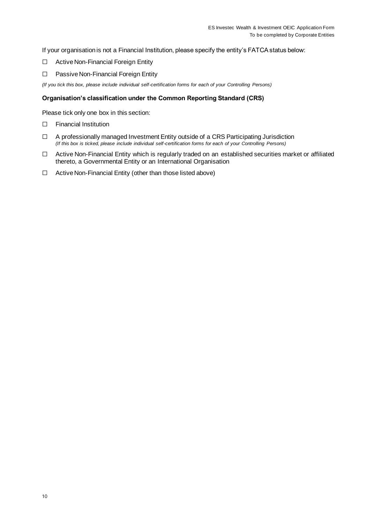If your organisation is not a Financial Institution, please specify the entity's FATCA status below:

- ☐ Active Non-Financial Foreign Entity
- ☐ Passive Non-Financial Foreign Entity

*(If you tick this box, please include individual self-certification forms for each of your Controlling Persons)*

### **Organisation's classification under the Common Reporting Standard (CRS)**

Please tick only one box in this section:

- ☐ Financial Institution
- ☐ A professionally managed Investment Entity outside of a CRS Participating Jurisdiction *(If this box is ticked, please include individual self-certification forms for each of your Controlling Persons)*
- ☐ Active Non-Financial Entity which is regularly traded on an established securities market or affiliated thereto, a Governmental Entity or an International Organisation
- ☐ Active Non-Financial Entity (other than those listed above)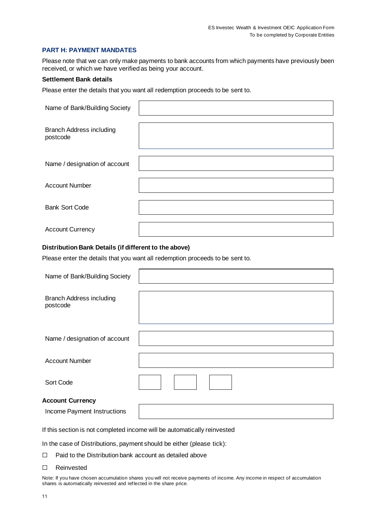#### **PART H: PAYMENT MANDATES**

Please note that we can only make payments to bank accounts from which payments have previously been received, or which we have verified as being your account.

### **Settlement Bank details**

Branch Address including

postcode

Please enter the details that you want all redemption proceeds to be sent to.

| Name of Bank/Building Society                                                 |  |  |  |  |  |
|-------------------------------------------------------------------------------|--|--|--|--|--|
| <b>Branch Address including</b><br>postcode                                   |  |  |  |  |  |
| Name / designation of account                                                 |  |  |  |  |  |
| <b>Account Number</b>                                                         |  |  |  |  |  |
| <b>Bank Sort Code</b>                                                         |  |  |  |  |  |
| <b>Account Currency</b>                                                       |  |  |  |  |  |
| Distribution Bank Details (if different to the above)                         |  |  |  |  |  |
| Please enter the details that you want all redemption proceeds to be sent to. |  |  |  |  |  |
| Name of Bank/Building Society                                                 |  |  |  |  |  |

| Name / designation of account                          |  |
|--------------------------------------------------------|--|
| <b>Account Number</b>                                  |  |
| Sort Code                                              |  |
| <b>Account Currency</b><br>Income Payment Instructions |  |

If this section is not completed income will be automatically reinvested

In the case of Distributions, payment should be either (please tick):

- ☐ Paid to the Distribution bank account as detailed above
- ☐ Reinvested

Note: If you have chosen accumulation shares you will not receive payments of income. Any income in respect of accumulation shares is automatically reinvested and reflected in the share price.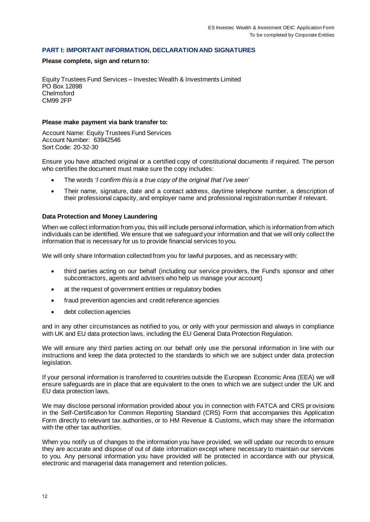#### **PART I: IMPORTANT INFORMATION, DECLARATION AND SIGNATURES**

#### **Please complete, sign and return to:**

Equity Trustees Fund Services – Investec Wealth & Investments Limited PO Box 12898 Chelmsford CM99 2FP

#### **Please make payment via bank transfer to:**

Account Name: Equity Trustees Fund Services Account Number: 63942546 Sort Code: 20-32-30

Ensure you have attached original or a certified copy of constitutional documents if required. The person who certifies the document must make sure the copy includes:

- The words *'I confirm this is a true copy of the original that I've seen'*
- Their name, signature, date and a contact address, daytime telephone number, a description of their professional capacity, and employer name and professional registration number if relevant.

### **Data Protection and Money Laundering**

When we collect information from you, this will include personal information, which is information from which individuals can be identified. We ensure that we safeguard your information and that we will only collect the information that is necessary for us to provide financial services to you.

We will only share Information collected from you for lawful purposes, and as necessary with:

- third parties acting on our behalf (including our service providers, the Fund's sponsor and other subcontractors, agents and advisers who help us manage your account)
- at the request of government entities or regulatory bodies
- fraud prevention agencies and credit reference agencies
- debt collection agencies

and in any other circumstances as notified to you, or only with your permission and always in compliance with UK and EU data protection laws, including the EU General Data Protection Regulation.

We will ensure any third parties acting on our behalf only use the personal information in line with our instructions and keep the data protected to the standards to which we are subject under data protection legislation.

If your personal information is transferred to countries outside the European Economic Area (EEA) we will ensure safeguards are in place that are equivalent to the ones to which we are subject under the UK and EU data protection laws.

We may disclose personal information provided about you in connection with FATCA and CRS provisions in the Self-Certification for Common Reporting Standard (CRS) Form that accompanies this Application Form directly to relevant tax authorities, or to HM Revenue & Customs, which may share the information with the other tax authorities.

When you notify us of changes to the information you have provided, we will update our records to ensure they are accurate and dispose of out of date information except where necessary to maintain our services to you. Any personal information you have provided will be protected in accordance with our physical, electronic and managerial data management and retention policies.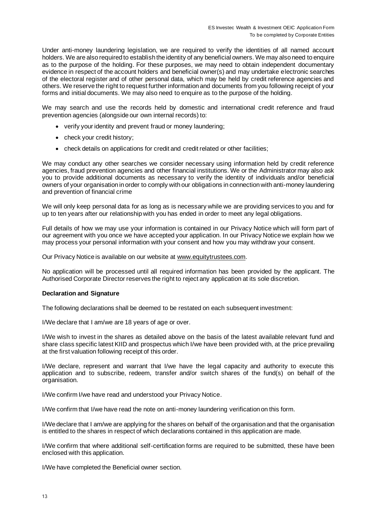Under anti-money laundering legislation, we are required to verify the identities of all named account holders. We are also required to establish the identity of any beneficial owners. We may also need to enquire as to the purpose of the holding. For these purposes, we may need to obtain independent documentary evidence in respect of the account holders and beneficial owner(s) and may undertake electronic searches of the electoral register and of other personal data, which may be held by credit reference agencies and others. We reserve the right to request further information and documents from you following receipt of your forms and initial documents. We may also need to enquire as to the purpose of the holding.

We may search and use the records held by domestic and international credit reference and fraud prevention agencies (alongside our own internal records) to:

- verify your identity and prevent fraud or money laundering;
- check your credit history;
- check details on applications for credit and credit related or other facilities:

We may conduct any other searches we consider necessary using information held by credit reference agencies, fraud prevention agencies and other financial institutions. We or the Administrator may also ask you to provide additional documents as necessary to verify the identity of individuals and/or beneficial owners of your organisation in order to comply with our obligations in connection with anti-money laundering and prevention of financial crime

We will only keep personal data for as long as is necessary while we are providing services to you and for up to ten years after our relationship with you has ended in order to meet any legal obligations.

Full details of how we may use your information is contained in our Privacy Notice which will form part of our agreement with you once we have accepted your application. In our Privacy Notice we explain how we may process your personal information with your consent and how you may withdraw your consent.

Our Privacy Notice is available on our website at [www.equitytrustees.com.](http://www.equitytrustees.com/)

No application will be processed until all required information has been provided by the applicant. The Authorised Corporate Director reserves the right to reject any application at its sole discretion.

#### **Declaration and Signature**

The following declarations shall be deemed to be restated on each subsequent investment:

I/We declare that I am/we are 18 years of age or over.

I/We wish to invest in the shares as detailed above on the basis of the latest available relevant fund and share class specific latest KIID and prospectus which I/we have been provided with, at the price prevailing at the first valuation following receipt of this order.

I/We declare, represent and warrant that I/we have the legal capacity and authority to execute this application and to subscribe, redeem, transfer and/or switch shares of the fund(s) on behalf of the organisation.

I/We confirm I/we have read and understood your Privacy Notice.

I/We confirm that I/we have read the note on anti-money laundering verification on this form.

I/We declare that I am/we are applying for the shares on behalf of the organisation and that the organisation is entitled to the shares in respect of which declarations contained in this application are made.

I/We confirm that where additional self-certification forms are required to be submitted, these have been enclosed with this application.

I/We have completed the Beneficial owner section.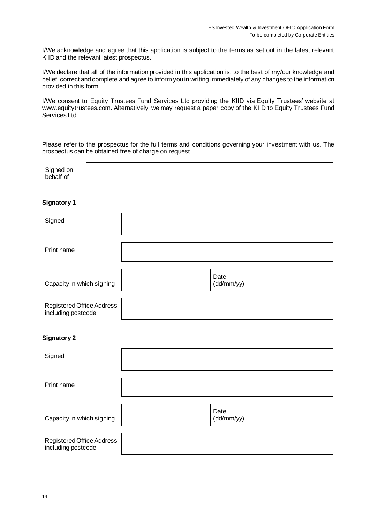I/We acknowledge and agree that this application is subject to the terms as set out in the latest relevant KIID and the relevant latest prospectus.

I/We declare that all of the information provided in this application is, to the best of my/our knowledge and belief, correct and complete and agree to inform you in writing immediately of any changes to the information provided in this form.

I/We consent to Equity Trustees Fund Services Ltd providing the KIID via Equity Trustees' website at [www.equitytrustees.com.](http://www.equitytrustees.com/) Alternatively, we may request a paper copy of the KIID to Equity Trustees Fund Services Ltd.

Please refer to the prospectus for the full terms and conditions governing your investment with us. The prospectus can be obtained free of charge on request.

| Signed on<br>behalf of                          |  |                    |
|-------------------------------------------------|--|--------------------|
| <b>Signatory 1</b>                              |  |                    |
| Signed                                          |  |                    |
| Print name                                      |  |                    |
| Capacity in which signing                       |  | Date<br>(dd/mm/yy) |
| Registered Office Address<br>including postcode |  |                    |
| <b>Signatory 2</b>                              |  |                    |
| Signed                                          |  |                    |
| Print name                                      |  |                    |
| Capacity in which signing                       |  | Date<br>(dd/mm/yy) |
| Registered Office Address<br>including postcode |  |                    |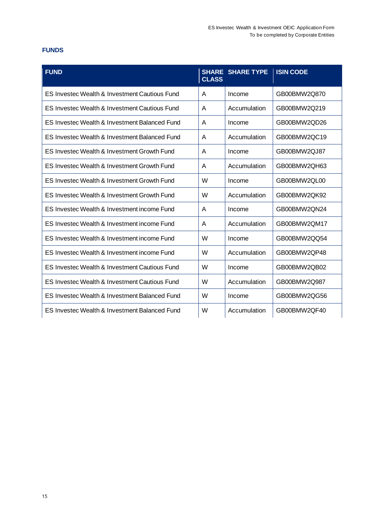# **FUNDS**

| <b>FUND</b>                                   | <b>CLASS</b> | <b>SHARE SHARE TYPE</b> | <b>ISIN CODE</b> |
|-----------------------------------------------|--------------|-------------------------|------------------|
| ES Investec Wealth & Investment Cautious Fund | A            | Income                  | GB00BMW2Q870     |
| ES Investec Wealth & Investment Cautious Fund | A            | Accumulation            | GB00BMW2Q219     |
| ES Investec Wealth & Investment Balanced Fund | A            | Income                  | GB00BMW2QD26     |
| ES Investec Wealth & Investment Balanced Fund | A            | Accumulation            | GB00BMW2QC19     |
| ES Investec Wealth & Investment Growth Fund   | A            | Income                  | GB00BMW2QJ87     |
| ES Investec Wealth & Investment Growth Fund   | A            | Accumulation            | GB00BMW2QH63     |
| ES Investec Wealth & Investment Growth Fund   | W            | Income                  | GB00BMW2QL00     |
| ES Investec Wealth & Investment Growth Fund   | W            | Accumulation            | GB00BMW2QK92     |
| ES Investec Wealth & Investment income Fund   | A            | Income                  | GB00BMW2QN24     |
| ES Investec Wealth & Investment income Fund   | A            | Accumulation            | GB00BMW2QM17     |
| ES Investec Wealth & Investment income Fund   | W            | Income                  | GB00BMW2QQ54     |
| ES Investec Wealth & Investment income Fund   | W            | Accumulation            | GB00BMW2QP48     |
| ES Investec Wealth & Investment Cautious Fund | W            | Income                  | GB00BMW2QB02     |
| ES Investec Wealth & Investment Cautious Fund | W            | Accumulation            | GB00BMW2Q987     |
| ES Investec Wealth & Investment Balanced Fund | W            | Income                  | GB00BMW2QG56     |
| ES Investec Wealth & Investment Balanced Fund | W            | Accumulation            | GB00BMW2QF40     |